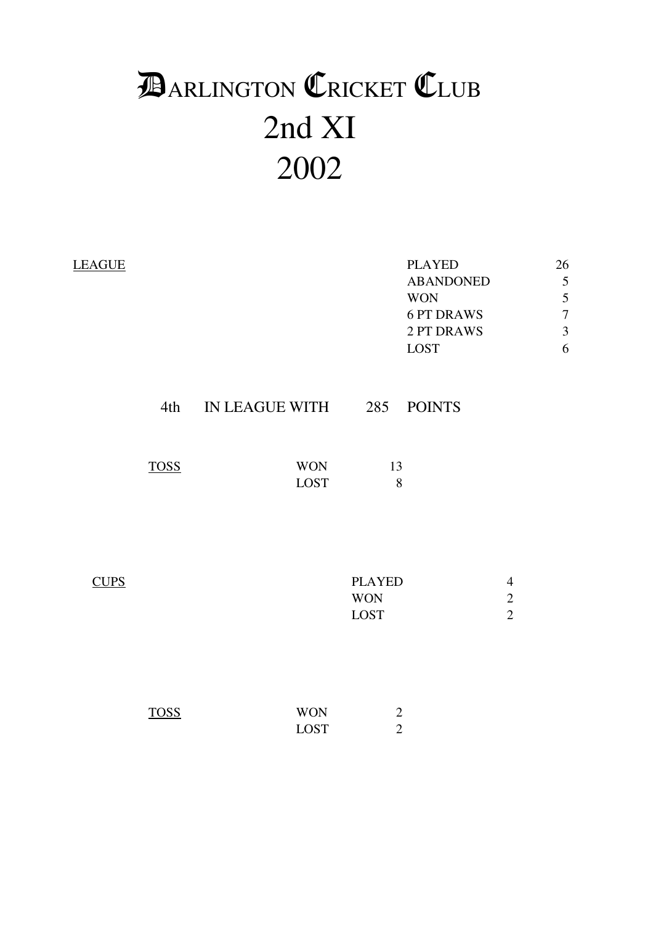# 2nd XI 2002 **DARLINGTON CRICKET CLUB**

| <b>LEAGUE</b> |             |                           |                                     | <b>PLAYED</b><br><b>ABANDONED</b><br><b>WON</b><br><b>6 PT DRAWS</b><br>2 PT DRAWS<br><b>LOST</b> |                                                | 26<br>5<br>5<br>$\overline{7}$<br>$\overline{3}$<br>6 |
|---------------|-------------|---------------------------|-------------------------------------|---------------------------------------------------------------------------------------------------|------------------------------------------------|-------------------------------------------------------|
|               | 4th         | IN LEAGUE WITH 285        |                                     | <b>POINTS</b>                                                                                     |                                                |                                                       |
|               | <b>TOSS</b> | <b>WON</b><br><b>LOST</b> | 13<br>8                             |                                                                                                   |                                                |                                                       |
| <b>CUPS</b>   |             |                           | <b>PLAYED</b><br><b>WON</b><br>LOST |                                                                                                   | $\overline{4}$<br>$\sqrt{2}$<br>$\overline{2}$ |                                                       |
|               | <b>TOSS</b> | <b>WON</b><br><b>LOST</b> | $\mathbf{2}$<br>$\overline{2}$      |                                                                                                   |                                                |                                                       |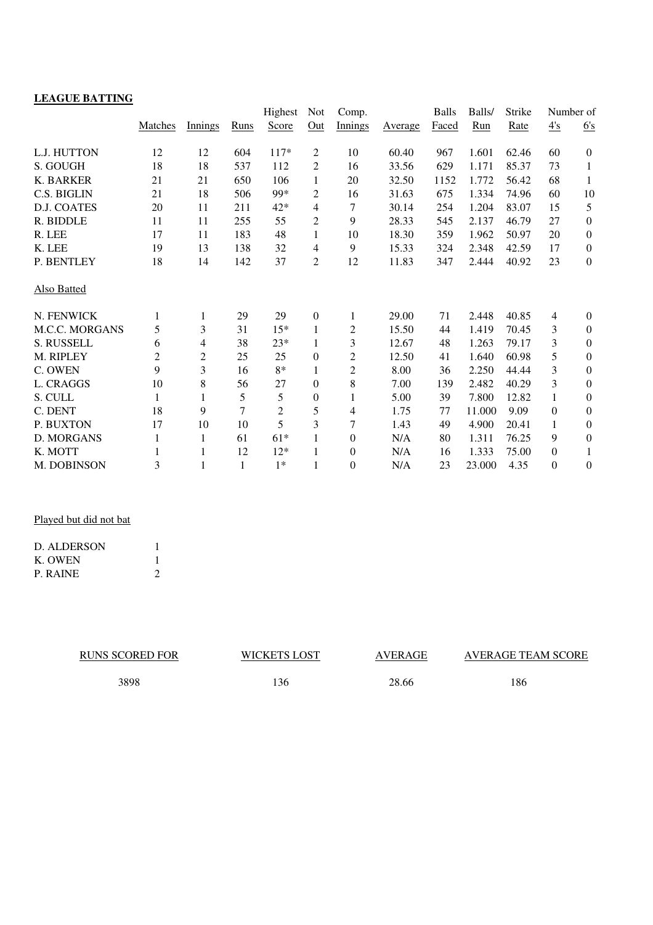## **LEAGUE BATTING**

|                       |         |         |      | Highest        | <b>Not</b>       | Comp.            |         | <b>Balls</b> | Balls/ | Strike | Number of       |                  |
|-----------------------|---------|---------|------|----------------|------------------|------------------|---------|--------------|--------|--------|-----------------|------------------|
|                       | Matches | Innings | Runs | Score          | Out              | Innings          | Average | Faced        | Run    | Rate   | $\frac{4's}{4}$ | 6's              |
| L.J. HUTTON           | 12      | 12      | 604  | $117*$         | 2                | 10               | 60.40   | 967          | 1.601  | 62.46  | 60              | $\boldsymbol{0}$ |
| S. GOUGH              | 18      | 18      | 537  | 112            | 2                | 16               | 33.56   | 629          | 1.171  | 85.37  | 73              | $\mathbf{1}$     |
| K. BARKER             | 21      | 21      | 650  | 106            | 1                | 20               | 32.50   | 1152         | 1.772  | 56.42  | 68              | $\mathbf{1}$     |
| C.S. BIGLIN           | 21      | 18      | 506  | 99*            | 2                | 16               | 31.63   | 675          | 1.334  | 74.96  | 60              | 10               |
| <b>D.J. COATES</b>    | 20      | 11      | 211  | $42*$          | 4                | 7                | 30.14   | 254          | 1.204  | 83.07  | 15              | 5                |
| R. BIDDLE             | 11      | 11      | 255  | 55             | 2                | 9                | 28.33   | 545          | 2.137  | 46.79  | 27              | $\boldsymbol{0}$ |
| R. LEE                | 17      | 11      | 183  | 48             | 1                | 10               | 18.30   | 359          | 1.962  | 50.97  | 20              | $\boldsymbol{0}$ |
| K. LEE                | 19      | 13      | 138  | 32             | 4                | 9                | 15.33   | 324          | 2.348  | 42.59  | 17              | $\boldsymbol{0}$ |
| P. BENTLEY            | 18      | 14      | 142  | 37             | 2                | 12               | 11.83   | 347          | 2.444  | 40.92  | 23              | $\boldsymbol{0}$ |
| <b>Also Batted</b>    |         |         |      |                |                  |                  |         |              |        |        |                 |                  |
| N. FENWICK            | 1       | 1       | 29   | 29             | $\boldsymbol{0}$ | 1                | 29.00   | 71           | 2.448  | 40.85  | $\overline{4}$  | $\boldsymbol{0}$ |
| <b>M.C.C. MORGANS</b> | 5       | 3       | 31   | $15*$          | 1                | $\overline{c}$   | 15.50   | 44           | 1.419  | 70.45  | 3               | $\boldsymbol{0}$ |
| S. RUSSELL            | 6       | 4       | 38   | $23*$          | 1                | 3                | 12.67   | 48           | 1.263  | 79.17  | 3               | $\mathbf{0}$     |
| M. RIPLEY             | 2       | 2       | 25   | 25             | 0                | 2                | 12.50   | 41           | 1.640  | 60.98  | 5               | $\mathbf{0}$     |
| C. OWEN               | 9       | 3       | 16   | 8*             | 1                | $\overline{c}$   | 8.00    | 36           | 2.250  | 44.44  | 3               | $\mathbf{0}$     |
| L. CRAGGS             | 10      | 8       | 56   | 27             | 0                | 8                | 7.00    | 139          | 2.482  | 40.29  | 3               | $\boldsymbol{0}$ |
| S. CULL               | 1       | 1       | 5    | 5              | 0                | 1                | 5.00    | 39           | 7.800  | 12.82  | 1               | $\boldsymbol{0}$ |
| C. DENT               | 18      | 9       | 7    | $\overline{c}$ | 5                | 4                | 1.75    | 77           | 11.000 | 9.09   | $\Omega$        | $\mathbf{0}$     |
| P. BUXTON             | 17      | 10      | 10   | 5              | 3                | 7                | 1.43    | 49           | 4.900  | 20.41  | 1               | $\mathbf{0}$     |
| D. MORGANS            | 1       | 1       | 61   | $61*$          | 1                | $\boldsymbol{0}$ | N/A     | 80           | 1.311  | 76.25  | 9               | $\boldsymbol{0}$ |
| K. MOTT               | 1       | 1       | 12   | $12*$          | 1                | $\theta$         | N/A     | 16           | 1.333  | 75.00  | $\theta$        | 1                |
| <b>M. DOBINSON</b>    | 3       | 1       | 1    | $1*$           | 1                | $\overline{0}$   | N/A     | 23           | 23.000 | 4.35   | $\theta$        | $\mathbf{0}$     |

Played but did not bat

| D. ALDERSON |  |
|-------------|--|
| K. OWEN     |  |
| P. RAINE    |  |

| <b>RUNS SCORED FOR</b> | <b>WICKETS LOST</b> | <b>AVERAGE</b> | AVERAGE TEAM SCORE |
|------------------------|---------------------|----------------|--------------------|
| 3898                   | ' 36                | 28.66          | 186                |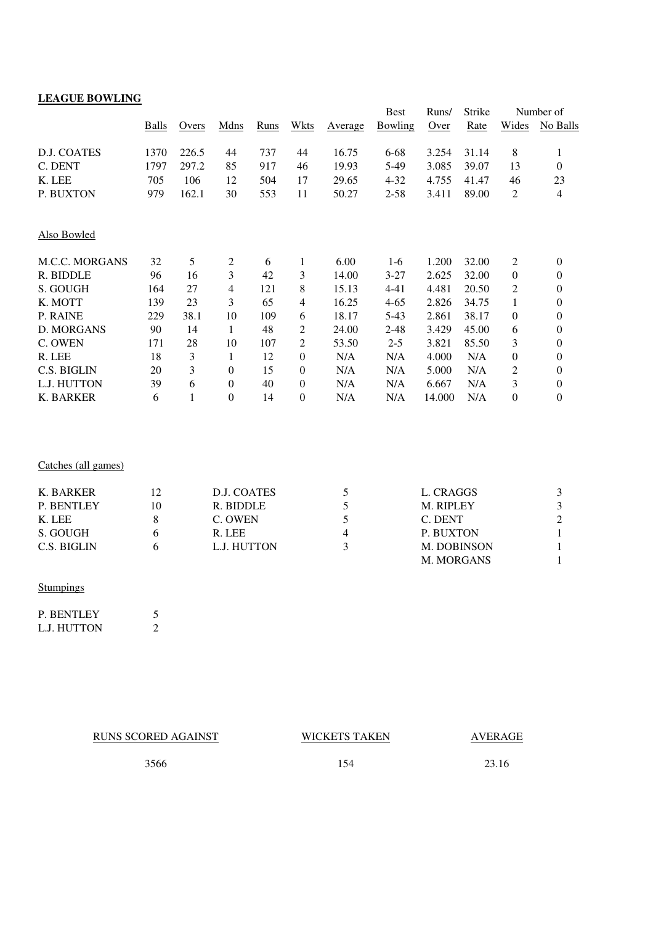| <b>LEAGUE BOWLING</b> |       |       |                |      |                  |         |             |        |        |                  |                  |
|-----------------------|-------|-------|----------------|------|------------------|---------|-------------|--------|--------|------------------|------------------|
|                       |       |       |                |      |                  |         | <b>Best</b> | Runs/  | Strike |                  | Number of        |
|                       | Balls | Overs | Mdns           | Runs | Wkts             | Average | Bowling     | Over   | Rate   | Wides            | No Balls         |
| D.J. COATES           | 1370  | 226.5 | 44             | 737  | 44               | 16.75   | 6-68        | 3.254  | 31.14  | 8                | 1                |
| C. DENT               | 1797  | 297.2 | 85             | 917  | 46               | 19.93   | 5-49        | 3.085  | 39.07  | 13               | $\boldsymbol{0}$ |
| K. LEE                | 705   | 106   | 12             | 504  | 17               | 29.65   | $4 - 32$    | 4.755  | 41.47  | 46               | 23               |
| P. BUXTON             | 979   | 162.1 | 30             | 553  | 11               | 50.27   | $2 - 58$    | 3.411  | 89.00  | $\overline{c}$   | 4                |
| Also Bowled           |       |       |                |      |                  |         |             |        |        |                  |                  |
| <b>M.C.C. MORGANS</b> | 32    | 5     | $\overline{c}$ | 6    | 1                | 6.00    | $1-6$       | 1.200  | 32.00  | $\overline{c}$   | $\theta$         |
| R. BIDDLE             | 96    | 16    | 3              | 42   | 3                | 14.00   | $3 - 27$    | 2.625  | 32.00  | $\boldsymbol{0}$ | $\boldsymbol{0}$ |
| S. GOUGH              | 164   | 27    | $\overline{4}$ | 121  | 8                | 15.13   | $4 - 41$    | 4.481  | 20.50  | 2                | 0                |
| K. MOTT               | 139   | 23    | 3              | 65   | 4                | 16.25   | $4 - 65$    | 2.826  | 34.75  | $\mathbf{1}$     | 0                |
| P. RAINE              | 229   | 38.1  | 10             | 109  | 6                | 18.17   | $5-43$      | 2.861  | 38.17  | $\boldsymbol{0}$ | 0                |
| D. MORGANS            | 90    | 14    | 1              | 48   | 2                | 24.00   | $2 - 48$    | 3.429  | 45.00  | 6                | 0                |
| C. OWEN               | 171   | 28    | 10             | 107  | 2                | 53.50   | $2 - 5$     | 3.821  | 85.50  | 3                | 0                |
| R. LEE                | 18    | 3     | 1              | 12   | $\overline{0}$   | N/A     | N/A         | 4.000  | N/A    | 0                | 0                |
| C.S. BIGLIN           | 20    | 3     | $\overline{0}$ | 15   | $\overline{0}$   | N/A     | N/A         | 5.000  | N/A    | 2                | 0                |
| L.J. HUTTON           | 39    | 6     | $\theta$       | 40   | $\overline{0}$   | N/A     | N/A         | 6.667  | N/A    | 3                | $\boldsymbol{0}$ |
| K. BARKER             | 6     | 1     | $\overline{0}$ | 14   | $\boldsymbol{0}$ | N/A     | N/A         | 14.000 | N/A    | $\boldsymbol{0}$ | $\boldsymbol{0}$ |

#### Catches (all games)

| K. BARKER   |    | D.J. COATES | L. CRAGGS        |  |
|-------------|----|-------------|------------------|--|
| P. BENTLEY  | 10 | R. BIDDLE   | <b>M. RIPLEY</b> |  |
| K. LEE      |    | C. OWEN     | C. DENT          |  |
| S. GOUGH    |    | R. LEE      | P. BUXTON        |  |
| C.S. BIGLIN |    | L.J. HUTTON | M. DOBINSON      |  |
|             |    |             | M. MORGANS       |  |
|             |    |             |                  |  |

#### **Stumpings**

| <b>P. BENTLEY</b> |  |
|-------------------|--|
| L.J. HUTTON       |  |

RUNS SCORED AGAINST WICKETS TAKEN

## AVERAGE

3566 154 23.16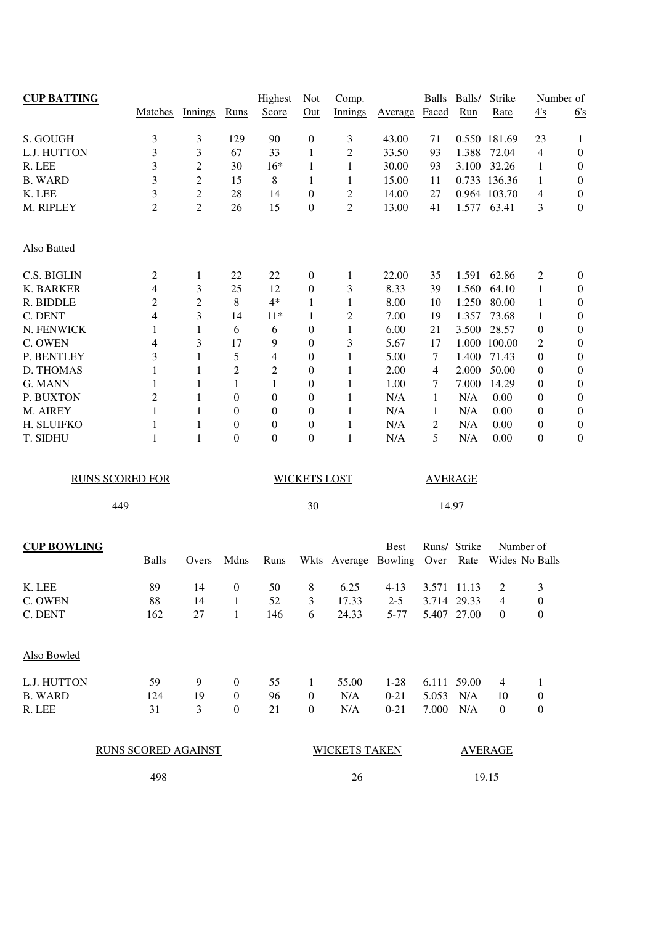| <b>CUP BATTING</b> |                            |                |                  | Highest          | Not                 | Comp.                |                | <b>Balls</b> | Balls/         | Strike           | Number of             |                  |
|--------------------|----------------------------|----------------|------------------|------------------|---------------------|----------------------|----------------|--------------|----------------|------------------|-----------------------|------------------|
|                    | Matches                    | Innings        | Runs             | Score            | Out                 | Innings              | <b>Average</b> | Faced        | Run            | Rate             | 4's                   | 6's              |
| S. GOUGH           | 3                          | 3              | 129              | 90               | $\boldsymbol{0}$    | 3                    | 43.00          | 71           |                | 0.550 181.69     | 23                    | 1                |
| L.J. HUTTON        | 3                          | 3              | 67               | 33               | 1                   | $\overline{c}$       | 33.50          | 93           | 1.388          | 72.04            | $\overline{4}$        | $\boldsymbol{0}$ |
| R. LEE             | 3                          | 2              | 30               | $16*$            | 1                   | 1                    | 30.00          | 93           | 3.100          | 32.26            | $\mathbf{1}$          | $\boldsymbol{0}$ |
| <b>B. WARD</b>     | 3                          | $\overline{c}$ | 15               | $\,8\,$          | 1                   | 1                    | 15.00          | 11           |                | 0.733 136.36     | 1                     | $\boldsymbol{0}$ |
| K. LEE             | 3                          | $\overline{c}$ | 28               | 14               | $\boldsymbol{0}$    | $\overline{c}$       | 14.00          | 27           |                | 0.964 103.70     | $\overline{4}$        | $\boldsymbol{0}$ |
| M. RIPLEY          | $\overline{c}$             | $\overline{c}$ | 26               | 15               | $\boldsymbol{0}$    | $\overline{2}$       | 13.00          | 41           |                | 1.577 63.41      | 3                     | $\boldsymbol{0}$ |
| <b>Also Batted</b> |                            |                |                  |                  |                     |                      |                |              |                |                  |                       |                  |
| C.S. BIGLIN        | 2                          | 1              | 22               | 22               | $\boldsymbol{0}$    | $\mathbf{1}$         | 22.00          | 35           | 1.591          | 62.86            | 2                     | $\boldsymbol{0}$ |
| <b>K. BARKER</b>   | 4                          | 3              | 25               | 12               | $\boldsymbol{0}$    | 3                    | 8.33           | 39           | 1.560          | 64.10            | 1                     | $\boldsymbol{0}$ |
| R. BIDDLE          | 2                          | $\overline{c}$ | 8                | $4*$             | 1                   | $\mathbf{1}$         | 8.00           | 10           | 1.250          | 80.00            | 1                     | $\boldsymbol{0}$ |
| C. DENT            | 4                          | 3              | 14               | $11*$            | 1                   | $\overline{2}$       | 7.00           | 19           | 1.357          | 73.68            | 1                     | $\boldsymbol{0}$ |
| N. FENWICK         | 1                          | $\mathbf{1}$   | 6                | 6                | $\boldsymbol{0}$    | $\mathbf{1}$         | 6.00           | 21           | 3.500          | 28.57            | $\boldsymbol{0}$      | $\boldsymbol{0}$ |
| C. OWEN            | 4                          | 3              | 17               | 9                | $\boldsymbol{0}$    | 3                    | 5.67           | 17           | 1.000          | 100.00           | 2                     | $\boldsymbol{0}$ |
| P. BENTLEY         | 3                          | 1              | 5                | 4                | $\boldsymbol{0}$    | 1                    | 5.00           | 7            | 1.400          | 71.43            | $\theta$              | $\boldsymbol{0}$ |
| D. THOMAS          | 1                          | 1              | 2                | 2                | $\mathbf{0}$        | 1                    | 2.00           | 4            | 2.000          | 50.00            | $\boldsymbol{0}$      | $\boldsymbol{0}$ |
| G. MANN            | 1                          | 1              | 1                | 1                | $\mathbf{0}$        | $\mathbf{1}$         | 1.00           | 7            | 7.000          | 14.29            | $\boldsymbol{0}$      | $\boldsymbol{0}$ |
| P. BUXTON          | $\overline{c}$             | 1              | $\boldsymbol{0}$ | $\boldsymbol{0}$ | $\boldsymbol{0}$    | 1                    | N/A            | 1            | N/A            | 0.00             | $\mathbf{0}$          | $\boldsymbol{0}$ |
| M. AIREY           | 1                          | 1              | $\boldsymbol{0}$ | 0                | $\boldsymbol{0}$    | 1                    | N/A            | 1            | N/A            | 0.00             | $\boldsymbol{0}$      | $\boldsymbol{0}$ |
| H. SLUIFKO         | 1                          | 1              | $\boldsymbol{0}$ | $\boldsymbol{0}$ | $\boldsymbol{0}$    | 1                    | N/A            | 2            | N/A            | 0.00             | $\boldsymbol{0}$      | $\boldsymbol{0}$ |
| T. SIDHU           | 1                          | $\mathbf{1}$   | $\mathbf{0}$     | $\overline{0}$   | $\boldsymbol{0}$    | $\mathbf{1}$         | N/A            | 5            | N/A            | 0.00             | $\mathbf{0}$          | $\boldsymbol{0}$ |
|                    | <b>RUNS SCORED FOR</b>     |                |                  |                  | <b>WICKETS LOST</b> |                      |                |              | <b>AVERAGE</b> |                  |                       |                  |
|                    | 449                        |                |                  |                  | 30                  |                      |                |              | 14.97          |                  |                       |                  |
| <b>CUP BOWLING</b> |                            |                |                  |                  |                     |                      | <b>Best</b>    |              | Runs/ Strike   |                  | Number of             |                  |
|                    | <b>Balls</b>               | Overs          | Mdns             | Runs             | <b>Wkts</b>         | Average              | <b>Bowling</b> | Over         | <b>Rate</b>    |                  | <b>Wides</b> No Balls |                  |
| K. LEE             | 89                         | 14             | $\boldsymbol{0}$ | 50               | 8                   | 6.25                 | $4-13$         |              | 3.571 11.13    | 2                | 3                     |                  |
| C. OWEN            | 88                         | 14             | 1                | 52               | 3                   | 17.33                | $2 - 5$        |              | 3.714 29.33    | 4                | $\boldsymbol{0}$      |                  |
| C. DENT            | 162                        | 27             | $\mathbf{1}$     | 146              | 6                   | 24.33                | $5 - 77$       |              | 5.407 27.00    | $\boldsymbol{0}$ | $\boldsymbol{0}$      |                  |
| Also Bowled        |                            |                |                  |                  |                     |                      |                |              |                |                  |                       |                  |
| L.J. HUTTON        | 59                         | 9              | $\boldsymbol{0}$ | 55               | $\mathbf{1}$        | 55.00                | $1-28$         |              | 6.111 59.00    | 4                | 1                     |                  |
| <b>B. WARD</b>     | 124                        | 19             | $\boldsymbol{0}$ | 96               | $\boldsymbol{0}$    | N/A                  | $0 - 21$       | 5.053        | N/A            | 10               | $\boldsymbol{0}$      |                  |
| R. LEE             | 31                         | 3              | $\boldsymbol{0}$ | 21               | $\boldsymbol{0}$    | N/A                  | $0 - 21$       | 7.000        | N/A            | $\boldsymbol{0}$ | $\boldsymbol{0}$      |                  |
|                    | <b>RUNS SCORED AGAINST</b> |                |                  |                  |                     | <b>WICKETS TAKEN</b> |                |              |                | <b>AVERAGE</b>   |                       |                  |
|                    | 498                        |                |                  |                  |                     | 26                   |                |              |                | 19.15            |                       |                  |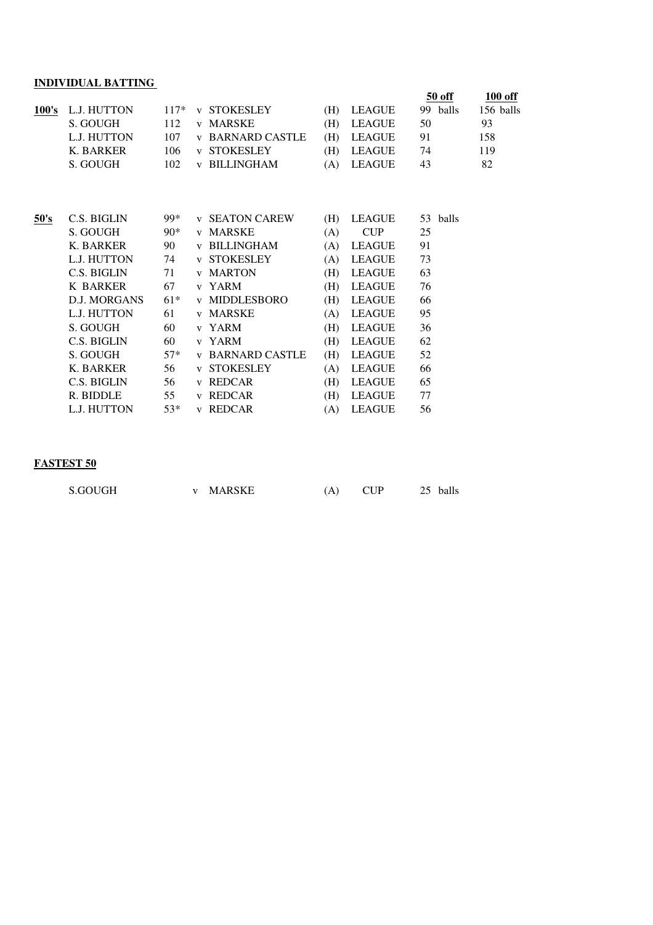## **INDIVIDUAL BATTING**

|       |                     |        |                         |     |               |    | 50 off   | 100 off   |
|-------|---------------------|--------|-------------------------|-----|---------------|----|----------|-----------|
| 100's | L.J. HUTTON         | $117*$ | <b>v STOKESLEY</b>      | (H) | LEAGUE        |    | 99 balls | 156 balls |
|       | S. GOUGH            | 112    | v MARSKE                | (H) | <b>LEAGUE</b> | 50 |          | 93        |
|       | L.J. HUTTON         | 107    | <b>v BARNARD CASTLE</b> | (H) | <b>LEAGUE</b> | 91 |          | 158       |
|       | K. BARKER           | 106    | <b>v STOKESLEY</b>      | (H) | LEAGUE        | 74 |          | 119       |
|       | S. GOUGH            | 102    | <b>v BILLINGHAM</b>     | (A) | <b>LEAGUE</b> | 43 |          | 82        |
|       |                     |        |                         |     |               |    |          |           |
| 50's  | C.S. BIGLIN         | 99*    | <b>v SEATON CAREW</b>   | (H) | <b>LEAGUE</b> |    | 53 balls |           |
|       | S. GOUGH            | $90*$  | v MARSKE                | (A) | <b>CUP</b>    | 25 |          |           |
|       | K. BARKER           | 90     | <b>v BILLINGHAM</b>     | (A) | LEAGUE        | 91 |          |           |
|       | L.J. HUTTON         | 74     | <b>v STOKESLEY</b>      | (A) | <b>LEAGUE</b> | 73 |          |           |
|       | C.S. BIGLIN         | 71     | <b>v</b> MARTON         | (H) | <b>LEAGUE</b> | 63 |          |           |
|       | <b>K BARKER</b>     | 67     | v YARM                  | (H) | <b>LEAGUE</b> | 76 |          |           |
|       | <b>D.J. MORGANS</b> | $61*$  | <b>v MIDDLESBORO</b>    | (H) | <b>LEAGUE</b> | 66 |          |           |
|       | L.J. HUTTON         | 61     | v MARSKE                | (A) | <b>LEAGUE</b> | 95 |          |           |
|       | S. GOUGH            | 60     | v YARM                  | (H) | <b>LEAGUE</b> | 36 |          |           |
|       | C.S. BIGLIN         | 60     | v YARM                  | (H) | <b>LEAGUE</b> | 62 |          |           |
|       | S. GOUGH            | $57*$  | <b>v BARNARD CASTLE</b> | (H) | <b>LEAGUE</b> | 52 |          |           |
|       | K. BARKER           | 56     | <b>v STOKESLEY</b>      | (A) | <b>LEAGUE</b> | 66 |          |           |
|       | C.S. BIGLIN         | 56     | v REDCAR                | (H) | <b>LEAGUE</b> | 65 |          |           |
|       | R. BIDDLE           | 55     | v REDCAR                | (H) | <b>LEAGUE</b> | 77 |          |           |
|       | L.J. HUTTON         | $53*$  | v REDCAR                | (A) | <b>LEAGUE</b> | 56 |          |           |
|       |                     |        |                         |     |               |    |          |           |

### **FASTEST 50**

| S.GOUGH | MARSKE | $C$ I I ${\bf p}$ | balls<br>25 |
|---------|--------|-------------------|-------------|
|---------|--------|-------------------|-------------|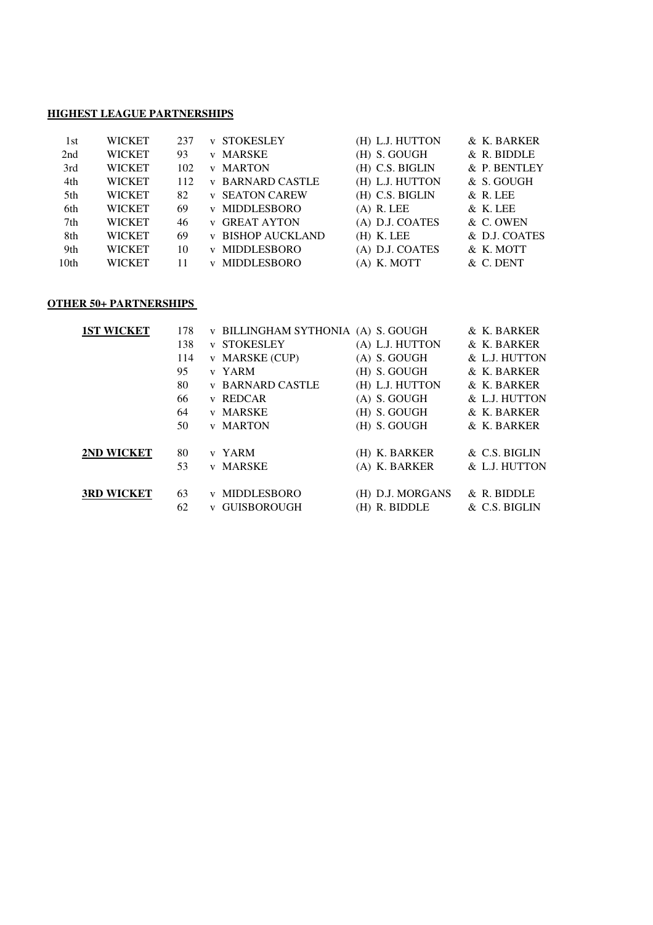#### **HIGHEST LEAGUE PARTNERSHIPS**

| 1st  | <b>WICKET</b> | 237 | <b>v STOKESLEY</b>       | (H) L.J. HUTTON | & K. BARKER   |
|------|---------------|-----|--------------------------|-----------------|---------------|
| 2nd  | <b>WICKET</b> | 93  | v MARSKE                 | $(H)$ S. GOUGH  | & R. BIDDLE   |
| 3rd  | <b>WICKET</b> | 102 | <b>v MARTON</b>          | (H) C.S. BIGLIN | & P. BENTLEY  |
| 4th  | <b>WICKET</b> | 112 | <b>v BARNARD CASTLE</b>  | (H) L.J. HUTTON | $&$ S. GOUGH  |
| 5th  | <b>WICKET</b> | 82  | <b>v</b> SEATON CAREW    | (H) C.S. BIGLIN | $\&$ R. LEE   |
| 6th  | WICKET        | 69  | <b>v MIDDLESBORO</b>     | $(A)$ R. LEE    | & K. LEE      |
| 7th  | <b>WICKET</b> | 46  | <b>v</b> GREAT AYTON     | (A) D.J. COATES | & C. OWEN     |
| 8th  | <b>WICKET</b> | 69  | <b>v BISHOP AUCKLAND</b> | $(H)$ K. LEE    | & D.J. COATES |
| 9th  | <b>WICKET</b> | 10  | <b>v MIDDLESBORO</b>     | (A) D.J. COATES | & K. MOTT     |
| 10th | <b>WICKET</b> | 11  | v MIDDLESBORO            | (A) K. MOTT     | & C. DENT     |

#### **OTHER 50+ PARTNERSHIPS**

| <b>1ST WICKET</b> | 178 | v BILLINGHAM SYTHONIA (A) S. GOUGH         | & K. BARKER   |
|-------------------|-----|--------------------------------------------|---------------|
|                   | 138 | <b>v STOKESLEY</b><br>(A) L.J. HUTTON      | & K. BARKER   |
|                   | 114 | v MARSKE (CUP)<br>$(A)$ S. GOUGH           | & L.J. HUTTON |
|                   | 95  | (H) S. GOUGH<br>v YARM                     | & K. BARKER   |
|                   | 80  | (H) L.J. HUTTON<br><b>v BARNARD CASTLE</b> | & K. BARKER   |
|                   | 66  | $(A)$ S. GOUGH<br><b>v</b> REDCAR          | & L.J. HUTTON |
|                   | 64  | <b>v MARSKE</b><br>(H) S. GOUGH            | & K. BARKER   |
|                   | 50  | (H) S. GOUGH<br><b>v</b> MARTON            | & K. BARKER   |
| 2ND WICKET        | 80  | (H) K. BARKER<br>v YARM                    | & C.S. BIGLIN |
|                   | 53  | <b>v MARSKE</b><br>(A) K. BARKER           | & L.J. HUTTON |
| <b>3RD WICKET</b> | 63  | v MIDDLESBORO<br>(H) D.J. MORGANS          | $&$ R. BIDDLE |
|                   | 62  | <b>GUISBOROUGH</b><br>(H) R. BIDDLE        | & C.S. BIGLIN |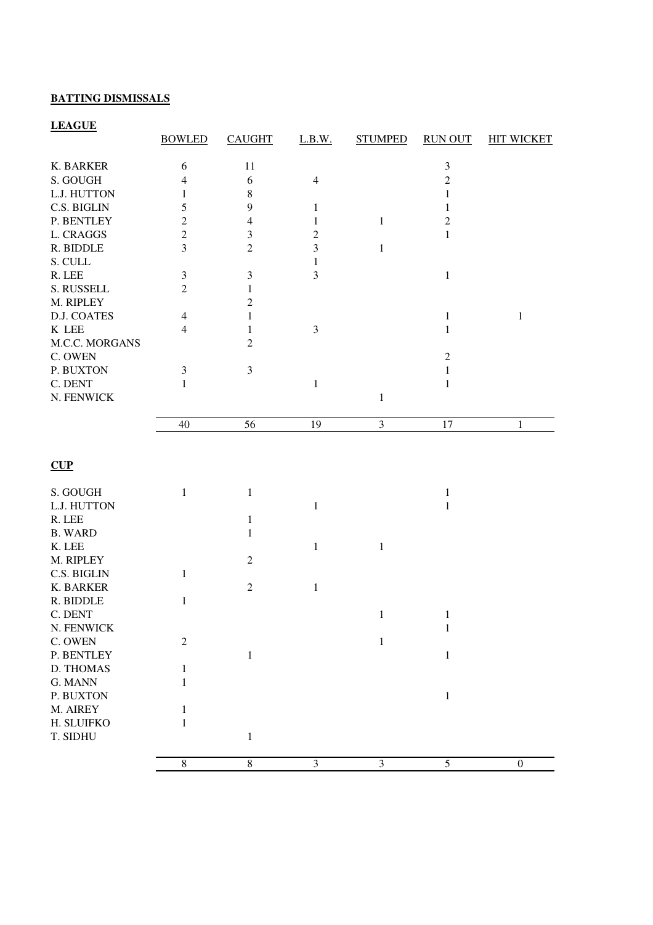## **BATTING DISMISSALS**

## **LEAGUE**

|                | <b>BOWLED</b>  | <b>CAUGHT</b>  | L.B.W.         | <b>STUMPED</b> | <b>RUN OUT</b>   | <b>HIT WICKET</b> |
|----------------|----------------|----------------|----------------|----------------|------------------|-------------------|
| K. BARKER      | 6              | 11             |                |                | $\mathfrak{Z}$   |                   |
| S. GOUGH       | $\overline{4}$ | $\sqrt{6}$     | $\overline{4}$ |                | $\sqrt{2}$       |                   |
| L.J. HUTTON    | 1              | $\,$ 8 $\,$    |                |                | $\mathbf{1}$     |                   |
| C.S. BIGLIN    | 5              | 9              | $\mathbf{1}$   |                | $\mathbf{1}$     |                   |
| P. BENTLEY     | $\overline{c}$ | $\overline{4}$ | $\mathbf{1}$   | $\mathbf{1}$   | $\mathbf{2}$     |                   |
| L. CRAGGS      | $\overline{2}$ | $\mathfrak{Z}$ | $\overline{c}$ |                | $\mathbf{1}$     |                   |
| R. BIDDLE      | 3              | $\overline{2}$ | 3              | $\mathbf{1}$   |                  |                   |
| S. CULL        |                |                | $\mathbf{1}$   |                |                  |                   |
| R. LEE         | $\mathfrak{Z}$ | $\mathfrak{Z}$ | 3              |                | $\mathbf{1}$     |                   |
| S. RUSSELL     | $\overline{2}$ | 1              |                |                |                  |                   |
| M. RIPLEY      |                | $\overline{2}$ |                |                |                  |                   |
| D.J. COATES    | 4              | 1              |                |                | $\mathbf{1}$     | $\mathbf{1}$      |
| K LEE          | 4              | 1              | $\mathfrak{Z}$ |                | 1                |                   |
| M.C.C. MORGANS |                | $\overline{2}$ |                |                |                  |                   |
| C. OWEN        |                |                |                |                | $\boldsymbol{2}$ |                   |
| P. BUXTON      | $\mathfrak{Z}$ | $\mathfrak{Z}$ |                |                | $\mathbf{1}$     |                   |
| C. DENT        | $\mathbf{1}$   |                |                |                |                  |                   |
| N. FENWICK     |                |                | $\,1$          |                | $\mathbf{1}$     |                   |
|                |                |                |                | $\mathbf{1}$   |                  |                   |
|                | 40             | 56             | 19             | $\mathfrak{Z}$ | 17               | $\mathbf{1}$      |
|                |                |                |                |                |                  |                   |
| CUP            |                |                |                |                |                  |                   |
| S. GOUGH       | $\mathbf{1}$   | $\mathbf{1}$   |                |                | 1                |                   |
| L.J. HUTTON    |                |                | $\mathbf{1}$   |                | 1                |                   |
| R. LEE         |                | $\mathbf{1}$   |                |                |                  |                   |
| <b>B. WARD</b> |                | 1              |                |                |                  |                   |
| K. LEE         |                |                | $\mathbf{1}$   | 1              |                  |                   |
| M. RIPLEY      |                | $\mathfrak{2}$ |                |                |                  |                   |
| C.S. BIGLIN    | $\mathbf{1}$   |                |                |                |                  |                   |
| K. BARKER      |                | $\mathfrak{2}$ | $\mathbf{1}$   |                |                  |                   |
| R. BIDDLE      | 1              |                |                |                |                  |                   |
| C. DENT        |                |                |                | $\mathbf{1}$   | $\mathbf{1}$     |                   |
| N. FENWICK     |                |                |                |                | $1\,$            |                   |
| C. OWEN        | $\sqrt{2}$     |                |                | $\mathbf{1}$   |                  |                   |
| P. BENTLEY     |                | $\mathbf{1}$   |                |                | $\mathbf{1}$     |                   |
| D. THOMAS      | $\mathbf{1}$   |                |                |                |                  |                   |
| G. MANN        | $\mathbf{1}$   |                |                |                |                  |                   |
| P. BUXTON      |                |                |                |                | $\mathbf{1}$     |                   |
| M. AIREY       | 1              |                |                |                |                  |                   |
| H. SLUIFKO     | 1              |                |                |                |                  |                   |
| T. SIDHU       |                | $\mathbf{1}$   |                |                |                  |                   |
|                |                |                |                |                |                  |                   |
|                | $8\,$          | $\,8\,$        | 3              | $\mathfrak{Z}$ | 5                | $\boldsymbol{0}$  |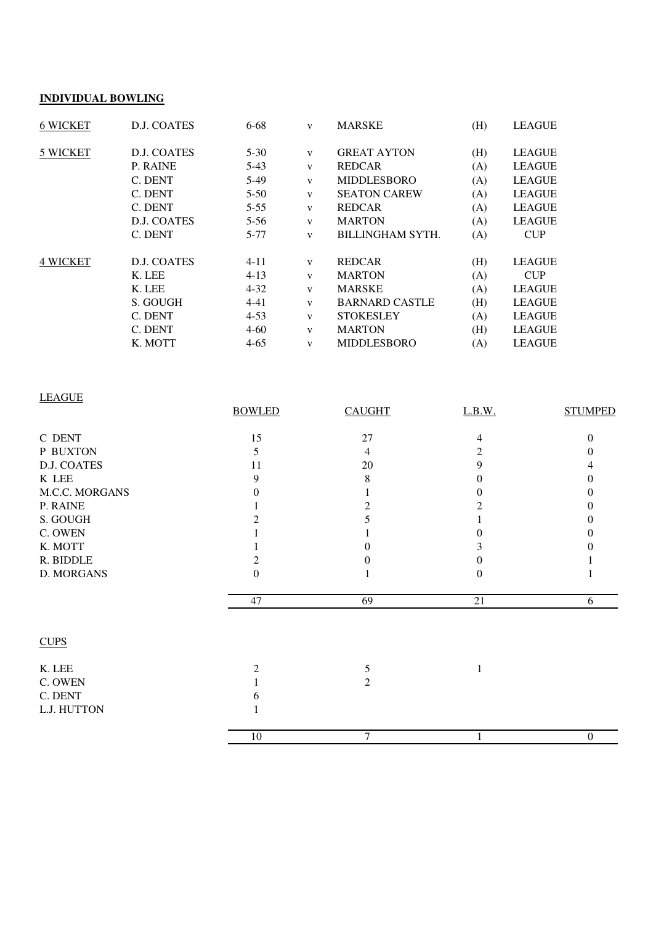#### **INDIVIDUAL BOWLING**

| <b>6 WICKET</b> | D.J. COATES | $6 - 68$ | V            | <b>MARSKE</b>         | (H) | <b>LEAGUE</b> |
|-----------------|-------------|----------|--------------|-----------------------|-----|---------------|
| 5 WICKET        | D.J. COATES | $5 - 30$ | V            | <b>GREAT AYTON</b>    | (H) | <b>LEAGUE</b> |
|                 | P. RAINE    | $5-43$   | $\mathbf{V}$ | <b>REDCAR</b>         | (A) | <b>LEAGUE</b> |
|                 | C. DENT     | $5-49$   | $\mathbf{V}$ | <b>MIDDLESBORO</b>    | (A) | <b>LEAGUE</b> |
|                 | C. DENT     | $5 - 50$ | $\mathbf{V}$ | <b>SEATON CAREW</b>   | (A) | <b>LEAGUE</b> |
|                 | C. DENT     | $5 - 55$ | $\mathbf{V}$ | <b>REDCAR</b>         | (A) | <b>LEAGUE</b> |
|                 | D.J. COATES | $5 - 56$ | $\mathbf{V}$ | <b>MARTON</b>         | (A) | <b>LEAGUE</b> |
|                 | C. DENT     | 5-77     | v            | BILLINGHAM SYTH.      | (A) | <b>CUP</b>    |
| <b>4 WICKET</b> | D.J. COATES | $4 - 11$ | V            | <b>REDCAR</b>         | (H) | <b>LEAGUE</b> |
|                 | K. LEE      | $4 - 13$ | $\mathbf{V}$ | <b>MARTON</b>         | (A) | <b>CUP</b>    |
|                 | K. LEE      | $4 - 32$ | v            | <b>MARSKE</b>         | (A) | <b>LEAGUE</b> |
|                 | S. GOUGH    | $4 - 41$ | V            | <b>BARNARD CASTLE</b> | (H) | <b>LEAGUE</b> |
|                 | C. DENT     | $4 - 53$ | V            | <b>STOKESLEY</b>      | (A) | <b>LEAGUE</b> |
|                 | C. DENT     | $4 - 60$ | v            | <b>MARTON</b>         | (H) | <b>LEAGUE</b> |
|                 | K. MOTT     | $4 - 65$ | V            | <b>MIDDLESBORO</b>    | (A) | <b>LEAGUE</b> |

| <b>LEAGUE</b>  |               |                |          |                   |
|----------------|---------------|----------------|----------|-------------------|
|                | <b>BOWLED</b> | <b>CAUGHT</b>  | L.B.W.   | <b>STUMPED</b>    |
| C DENT         | 15            | 27             | 4        | $\Omega$          |
| P BUXTON       | 5             | 4              | 2        | $\mathbf{\Omega}$ |
| D.J. COATES    | 11            | 20             | 9        |                   |
| K LEE          | 9             | 8              | $\theta$ | $_{0}$            |
| M.C.C. MORGANS | $\Omega$      |                |          | $\Omega$          |
| P. RAINE       |               | 2              | 2        |                   |
| S. GOUGH       |               | 5              |          | $\mathbf{\Omega}$ |
| C. OWEN        |               |                |          |                   |
| K. MOTT        |               | $\Omega$       |          |                   |
| R. BIDDLE      | 2             | 0              |          |                   |
| D. MORGANS     | $\theta$      |                | ∩        |                   |
|                | 47            | 69             | 21       | 6                 |
| <b>CUPS</b>    |               |                |          |                   |
| K. LEE         | 2             | 5              | 1        |                   |
| C. OWEN        |               | $\overline{2}$ |          |                   |
| C. DENT        | h             |                |          |                   |
| L.J. HUTTON    |               |                |          |                   |
|                | $10\,$        | 7              | 1        | $\mathbf{0}$      |